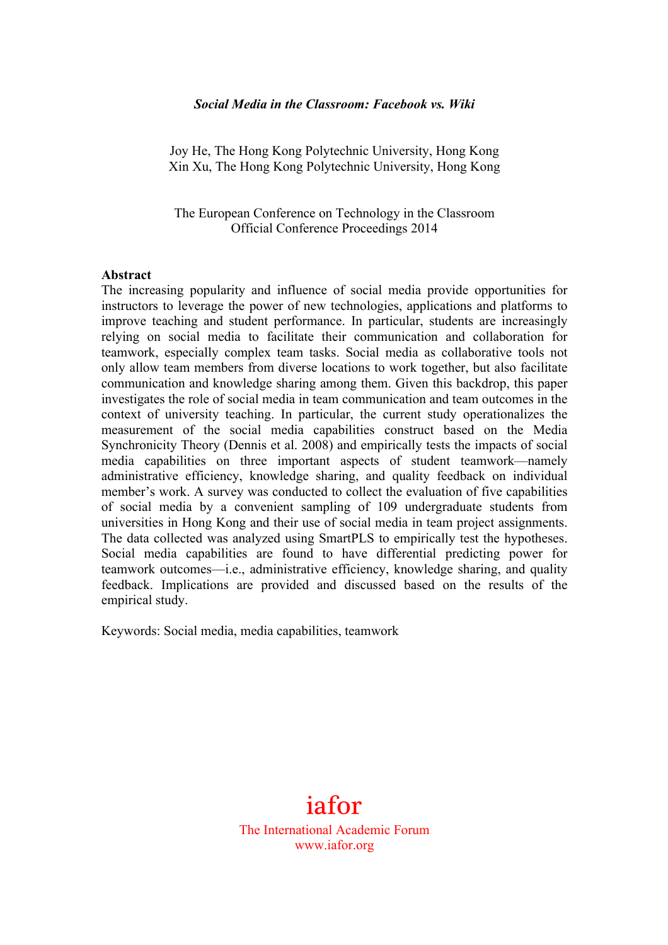#### *Social Media in the Classroom: Facebook vs. Wiki*

Joy He, The Hong Kong Polytechnic University, Hong Kong Xin Xu, The Hong Kong Polytechnic University, Hong Kong

The European Conference on Technology in the Classroom Official Conference Proceedings 2014

#### **Abstract**

The increasing popularity and influence of social media provide opportunities for instructors to leverage the power of new technologies, applications and platforms to improve teaching and student performance. In particular, students are increasingly relying on social media to facilitate their communication and collaboration for teamwork, especially complex team tasks. Social media as collaborative tools not only allow team members from diverse locations to work together, but also facilitate communication and knowledge sharing among them. Given this backdrop, this paper investigates the role of social media in team communication and team outcomes in the context of university teaching. In particular, the current study operationalizes the measurement of the social media capabilities construct based on the Media Synchronicity Theory (Dennis et al. 2008) and empirically tests the impacts of social media capabilities on three important aspects of student teamwork—namely administrative efficiency, knowledge sharing, and quality feedback on individual member's work. A survey was conducted to collect the evaluation of five capabilities of social media by a convenient sampling of 109 undergraduate students from universities in Hong Kong and their use of social media in team project assignments. The data collected was analyzed using SmartPLS to empirically test the hypotheses. Social media capabilities are found to have differential predicting power for teamwork outcomes—i.e., administrative efficiency, knowledge sharing, and quality feedback. Implications are provided and discussed based on the results of the empirical study.

Keywords: Social media, media capabilities, teamwork

# iafor

The International Academic Forum www.iafor.org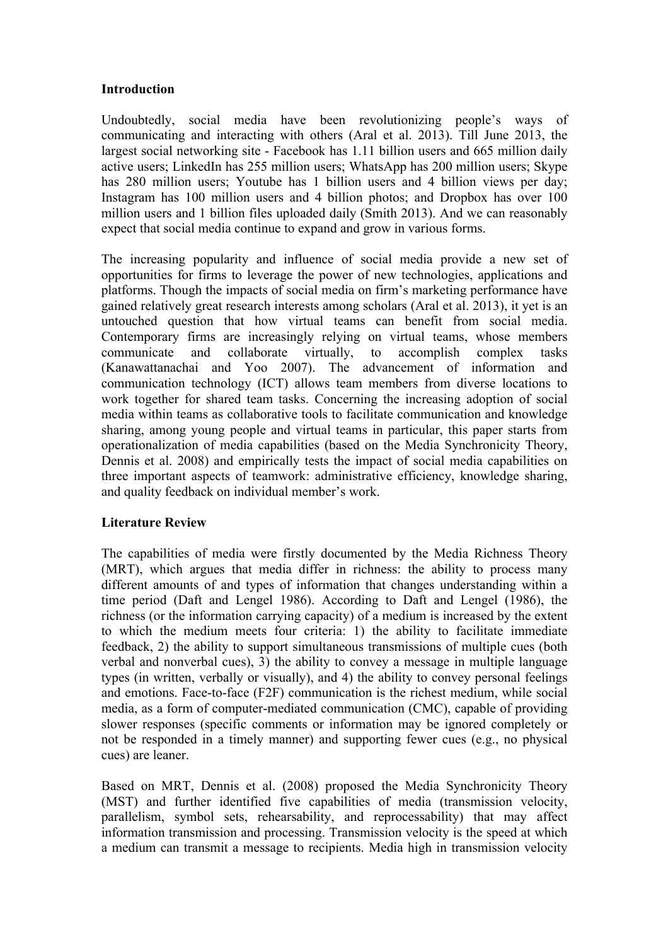# **Introduction**

Undoubtedly, social media have been revolutionizing people's ways of communicating and interacting with others (Aral et al. 2013). Till June 2013, the largest social networking site - Facebook has 1.11 billion users and 665 million daily active users; LinkedIn has 255 million users; WhatsApp has 200 million users; Skype has 280 million users; Youtube has 1 billion users and 4 billion views per day; Instagram has 100 million users and 4 billion photos; and Dropbox has over 100 million users and 1 billion files uploaded daily (Smith 2013). And we can reasonably expect that social media continue to expand and grow in various forms.

The increasing popularity and influence of social media provide a new set of opportunities for firms to leverage the power of new technologies, applications and platforms. Though the impacts of social media on firm's marketing performance have gained relatively great research interests among scholars (Aral et al. 2013), it yet is an untouched question that how virtual teams can benefit from social media. Contemporary firms are increasingly relying on virtual teams, whose members communicate and collaborate virtually, to accomplish complex tasks (Kanawattanachai and Yoo 2007). The advancement of information and communication technology (ICT) allows team members from diverse locations to work together for shared team tasks. Concerning the increasing adoption of social media within teams as collaborative tools to facilitate communication and knowledge sharing, among young people and virtual teams in particular, this paper starts from operationalization of media capabilities (based on the Media Synchronicity Theory, Dennis et al. 2008) and empirically tests the impact of social media capabilities on three important aspects of teamwork: administrative efficiency, knowledge sharing, and quality feedback on individual member's work.

# **Literature Review**

The capabilities of media were firstly documented by the Media Richness Theory (MRT), which argues that media differ in richness: the ability to process many different amounts of and types of information that changes understanding within a time period (Daft and Lengel 1986). According to Daft and Lengel (1986), the richness (or the information carrying capacity) of a medium is increased by the extent to which the medium meets four criteria: 1) the ability to facilitate immediate feedback, 2) the ability to support simultaneous transmissions of multiple cues (both verbal and nonverbal cues), 3) the ability to convey a message in multiple language types (in written, verbally or visually), and 4) the ability to convey personal feelings and emotions. Face-to-face (F2F) communication is the richest medium, while social media, as a form of computer-mediated communication (CMC), capable of providing slower responses (specific comments or information may be ignored completely or not be responded in a timely manner) and supporting fewer cues (e.g., no physical cues) are leaner.

Based on MRT, Dennis et al. (2008) proposed the Media Synchronicity Theory (MST) and further identified five capabilities of media (transmission velocity, parallelism, symbol sets, rehearsability, and reprocessability) that may affect information transmission and processing. Transmission velocity is the speed at which a medium can transmit a message to recipients. Media high in transmission velocity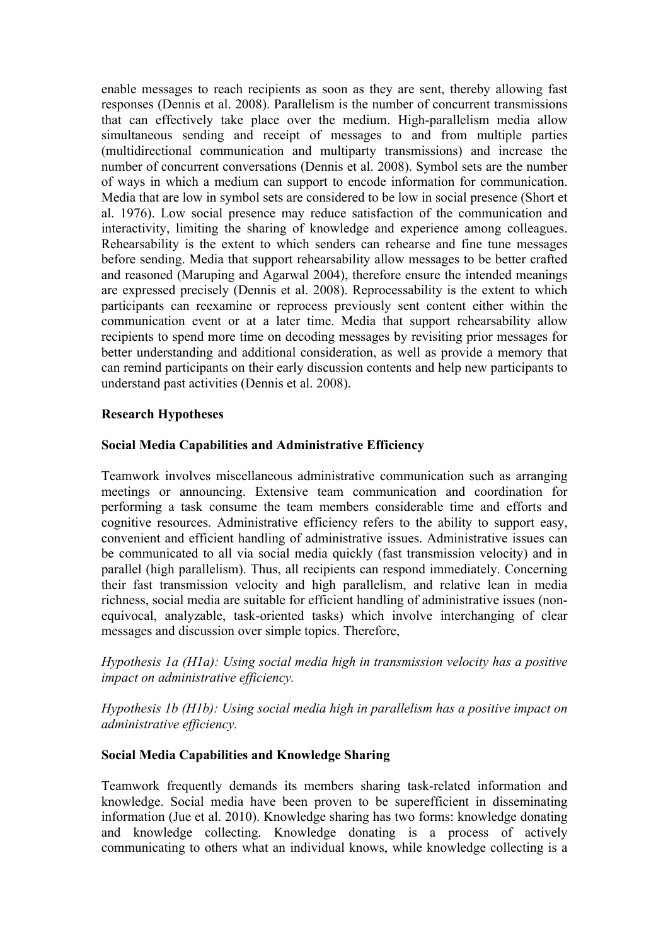enable messages to reach recipients as soon as they are sent, thereby allowing fast responses (Dennis et al. 2008). Parallelism is the number of concurrent transmissions that can effectively take place over the medium. High-parallelism media allow simultaneous sending and receipt of messages to and from multiple parties (multidirectional communication and multiparty transmissions) and increase the number of concurrent conversations (Dennis et al. 2008). Symbol sets are the number of ways in which a medium can support to encode information for communication. Media that are low in symbol sets are considered to be low in social presence (Short et al. 1976). Low social presence may reduce satisfaction of the communication and interactivity, limiting the sharing of knowledge and experience among colleagues. Rehearsability is the extent to which senders can rehearse and fine tune messages before sending. Media that support rehearsability allow messages to be better crafted and reasoned (Maruping and Agarwal 2004), therefore ensure the intended meanings are expressed precisely (Dennis et al. 2008). Reprocessability is the extent to which participants can reexamine or reprocess previously sent content either within the communication event or at a later time. Media that support rehearsability allow recipients to spend more time on decoding messages by revisiting prior messages for better understanding and additional consideration, as well as provide a memory that can remind participants on their early discussion contents and help new participants to understand past activities (Dennis et al. 2008).

#### **Research Hypotheses**

#### **Social Media Capabilities and Administrative Efficiency**

Teamwork involves miscellaneous administrative communication such as arranging meetings or announcing. Extensive team communication and coordination for performing a task consume the team members considerable time and efforts and cognitive resources. Administrative efficiency refers to the ability to support easy, convenient and efficient handling of administrative issues. Administrative issues can be communicated to all via social media quickly (fast transmission velocity) and in parallel (high parallelism). Thus, all recipients can respond immediately. Concerning their fast transmission velocity and high parallelism, and relative lean in media richness, social media are suitable for efficient handling of administrative issues (nonequivocal, analyzable, task-oriented tasks) which involve interchanging of clear messages and discussion over simple topics. Therefore,

*Hypothesis 1a (H1a): Using social media high in transmission velocity has a positive impact on administrative efficiency.*

*Hypothesis 1b (H1b): Using social media high in parallelism has a positive impact on administrative efficiency.*

## **Social Media Capabilities and Knowledge Sharing**

Teamwork frequently demands its members sharing task-related information and knowledge. Social media have been proven to be superefficient in disseminating information (Jue et al. 2010). Knowledge sharing has two forms: knowledge donating and knowledge collecting. Knowledge donating is a process of actively communicating to others what an individual knows, while knowledge collecting is a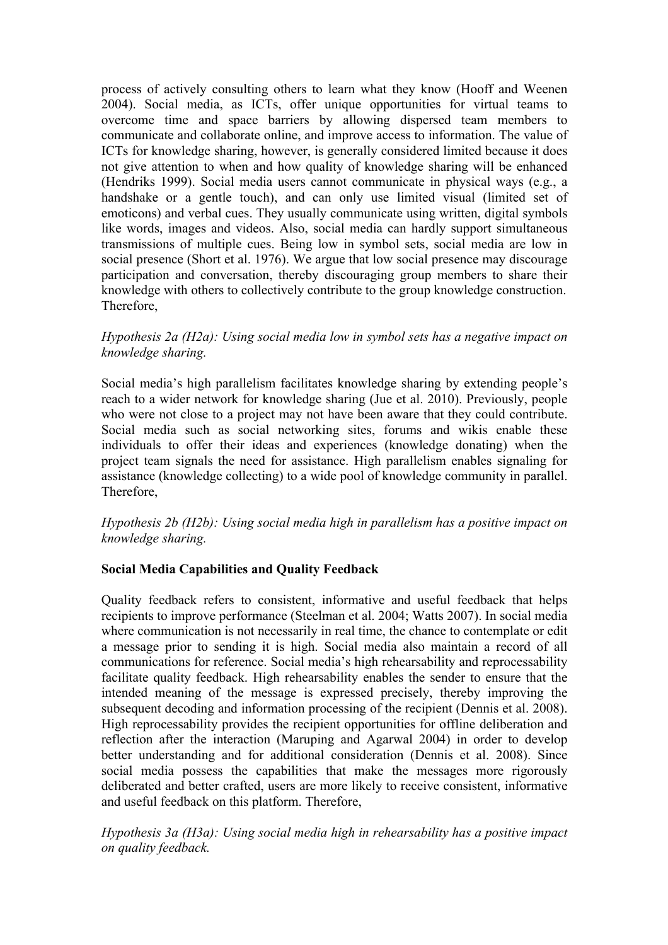process of actively consulting others to learn what they know (Hooff and Weenen 2004). Social media, as ICTs, offer unique opportunities for virtual teams to overcome time and space barriers by allowing dispersed team members to communicate and collaborate online, and improve access to information. The value of ICTs for knowledge sharing, however, is generally considered limited because it does not give attention to when and how quality of knowledge sharing will be enhanced (Hendriks 1999). Social media users cannot communicate in physical ways (e.g., a handshake or a gentle touch), and can only use limited visual (limited set of emoticons) and verbal cues. They usually communicate using written, digital symbols like words, images and videos. Also, social media can hardly support simultaneous transmissions of multiple cues. Being low in symbol sets, social media are low in social presence (Short et al. 1976). We argue that low social presence may discourage participation and conversation, thereby discouraging group members to share their knowledge with others to collectively contribute to the group knowledge construction. Therefore,

# *Hypothesis 2a (H2a): Using social media low in symbol sets has a negative impact on knowledge sharing.*

Social media's high parallelism facilitates knowledge sharing by extending people's reach to a wider network for knowledge sharing (Jue et al. 2010). Previously, people who were not close to a project may not have been aware that they could contribute. Social media such as social networking sites, forums and wikis enable these individuals to offer their ideas and experiences (knowledge donating) when the project team signals the need for assistance. High parallelism enables signaling for assistance (knowledge collecting) to a wide pool of knowledge community in parallel. Therefore,

# *Hypothesis 2b (H2b): Using social media high in parallelism has a positive impact on knowledge sharing.*

# **Social Media Capabilities and Quality Feedback**

Quality feedback refers to consistent, informative and useful feedback that helps recipients to improve performance (Steelman et al. 2004; Watts 2007). In social media where communication is not necessarily in real time, the chance to contemplate or edit a message prior to sending it is high. Social media also maintain a record of all communications for reference. Social media's high rehearsability and reprocessability facilitate quality feedback. High rehearsability enables the sender to ensure that the intended meaning of the message is expressed precisely, thereby improving the subsequent decoding and information processing of the recipient (Dennis et al. 2008). High reprocessability provides the recipient opportunities for offline deliberation and reflection after the interaction (Maruping and Agarwal 2004) in order to develop better understanding and for additional consideration (Dennis et al. 2008). Since social media possess the capabilities that make the messages more rigorously deliberated and better crafted, users are more likely to receive consistent, informative and useful feedback on this platform. Therefore,

*Hypothesis 3a (H3a): Using social media high in rehearsability has a positive impact on quality feedback.*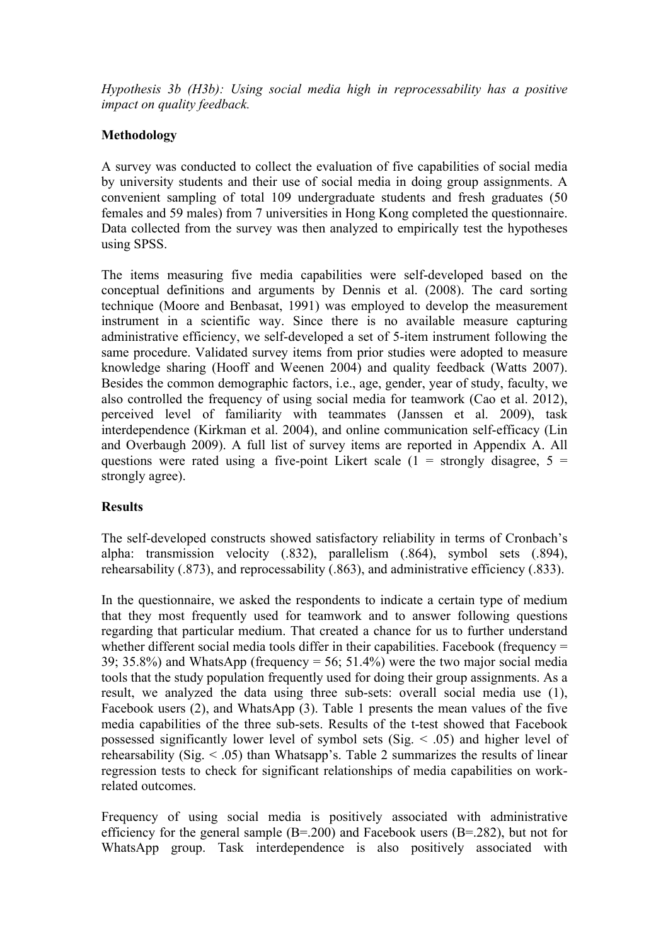*Hypothesis 3b (H3b): Using social media high in reprocessability has a positive impact on quality feedback.*

# **Methodology**

A survey was conducted to collect the evaluation of five capabilities of social media by university students and their use of social media in doing group assignments. A convenient sampling of total 109 undergraduate students and fresh graduates (50 females and 59 males) from 7 universities in Hong Kong completed the questionnaire. Data collected from the survey was then analyzed to empirically test the hypotheses using SPSS.

The items measuring five media capabilities were self-developed based on the conceptual definitions and arguments by Dennis et al. (2008). The card sorting technique (Moore and Benbasat, 1991) was employed to develop the measurement instrument in a scientific way. Since there is no available measure capturing administrative efficiency, we self-developed a set of 5-item instrument following the same procedure. Validated survey items from prior studies were adopted to measure knowledge sharing (Hooff and Weenen 2004) and quality feedback (Watts 2007). Besides the common demographic factors, i.e., age, gender, year of study, faculty, we also controlled the frequency of using social media for teamwork (Cao et al. 2012), perceived level of familiarity with teammates (Janssen et al. 2009), task interdependence (Kirkman et al. 2004), and online communication self-efficacy (Lin and Overbaugh 2009). A full list of survey items are reported in Appendix A. All questions were rated using a five-point Likert scale  $(1 -$  strongly disagree,  $5 =$ strongly agree).

# **Results**

The self-developed constructs showed satisfactory reliability in terms of Cronbach's alpha: transmission velocity (.832), parallelism (.864), symbol sets (.894), rehearsability (.873), and reprocessability (.863), and administrative efficiency (.833).

In the questionnaire, we asked the respondents to indicate a certain type of medium that they most frequently used for teamwork and to answer following questions regarding that particular medium. That created a chance for us to further understand whether different social media tools differ in their capabilities. Facebook (frequency = 39; 35.8%) and WhatsApp (frequency  $= 56$ ; 51.4%) were the two major social media tools that the study population frequently used for doing their group assignments. As a result, we analyzed the data using three sub-sets: overall social media use (1), Facebook users (2), and WhatsApp (3). Table 1 presents the mean values of the five media capabilities of the three sub-sets. Results of the t-test showed that Facebook possessed significantly lower level of symbol sets (Sig. < .05) and higher level of rehearsability (Sig.  $\leq$  .05) than Whatsapp's. Table 2 summarizes the results of linear regression tests to check for significant relationships of media capabilities on workrelated outcomes.

Frequency of using social media is positively associated with administrative efficiency for the general sample (B=.200) and Facebook users (B=.282), but not for WhatsApp group. Task interdependence is also positively associated with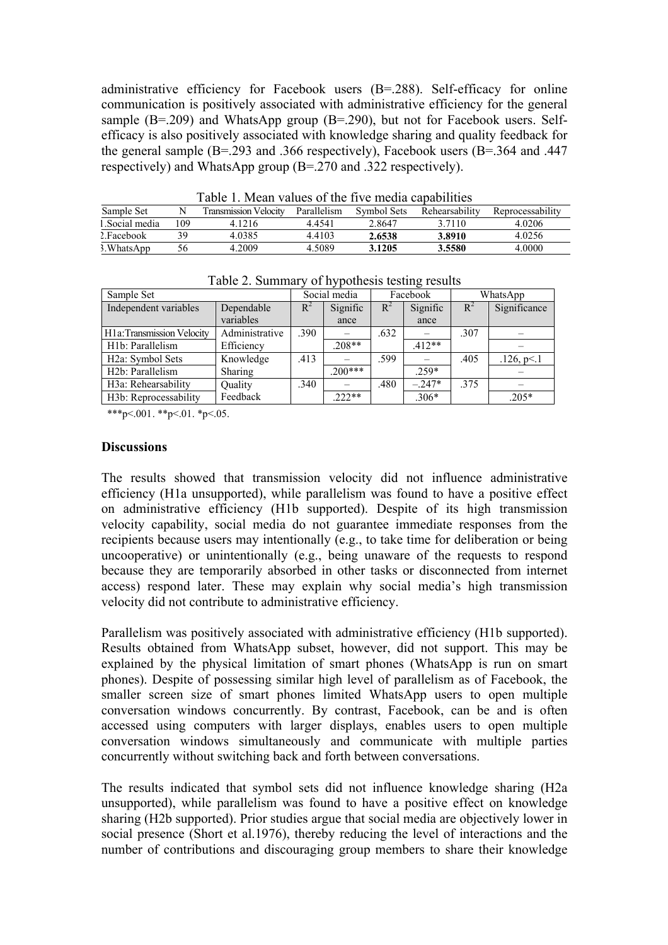administrative efficiency for Facebook users (B=.288). Self-efficacy for online communication is positively associated with administrative efficiency for the general sample (B=.209) and WhatsApp group (B=.290), but not for Facebook users. Selfefficacy is also positively associated with knowledge sharing and quality feedback for the general sample (B=.293 and .366 respectively), Facebook users (B=.364 and .447 respectively) and WhatsApp group (B=.270 and .322 respectively).

| Table 1. Mean values of the five media capabilities |  |  |  |  |  |
|-----------------------------------------------------|--|--|--|--|--|
|-----------------------------------------------------|--|--|--|--|--|

| TAOIA T'IIRMII TAIMAD OI MIA IITA IIIAMIN AMDAOIIINAD |     |                              |             |             |                |                  |
|-------------------------------------------------------|-----|------------------------------|-------------|-------------|----------------|------------------|
| Sample Set                                            |     | <b>Transmission Velocity</b> | Parallelism | Symbol Sets | Rehearsability | Reprocessability |
| 1. Social media                                       | 109 | 4.1216                       | 4 4 5 4 1   | 2.8647      | 3 7 1 1 0      | 4.0206           |
| 2. Facebook                                           |     | 4.0385                       | 44103       | 2.6538      | 3.8910         | 4.0256           |
| 3. WhatsApp                                           | 56  | 4.2009                       | 4.5089      | 3.1205      | 3.5580         | 4.0000           |

| Sample Set                         |                |       | Social media |       | Facebook |       | WhatsApp     |  |
|------------------------------------|----------------|-------|--------------|-------|----------|-------|--------------|--|
| Independent variables              | Dependable     | $R^2$ | Signific     | $R^2$ | Signific | $R^2$ | Significance |  |
|                                    | variables      |       | ance         |       | ance     |       |              |  |
| H1a: Transmission Velocity         | Administrative | .390  |              | .632  |          | .307  |              |  |
| H <sub>1</sub> b: Parallelism      | Efficiency     |       | $.208**$     |       | $.412**$ |       |              |  |
| H <sub>2</sub> a: Symbol Sets      | Knowledge      | .413  |              | .599  |          | .405  | .126, p<1    |  |
| H <sub>2</sub> b: Parallelism      | Sharing        |       | $.200***$    |       | $.259*$  |       |              |  |
| H <sub>3</sub> a: Rehearsability   | Quality        | .340  |              | .480  | $-.247*$ | 375   |              |  |
| H <sub>3</sub> b: Reprocessability | Feedback       |       | $.222**$     |       | $.306*$  |       | $.205*$      |  |

Table 2. Summary of hypothesis testing results

\*\*\*p<.001. \*\*p<.01. \*p<.05.

#### **Discussions**

The results showed that transmission velocity did not influence administrative efficiency (H1a unsupported), while parallelism was found to have a positive effect on administrative efficiency (H1b supported). Despite of its high transmission velocity capability, social media do not guarantee immediate responses from the recipients because users may intentionally (e.g., to take time for deliberation or being uncooperative) or unintentionally (e.g., being unaware of the requests to respond because they are temporarily absorbed in other tasks or disconnected from internet access) respond later. These may explain why social media's high transmission velocity did not contribute to administrative efficiency.

Parallelism was positively associated with administrative efficiency (H1b supported). Results obtained from WhatsApp subset, however, did not support. This may be explained by the physical limitation of smart phones (WhatsApp is run on smart phones). Despite of possessing similar high level of parallelism as of Facebook, the smaller screen size of smart phones limited WhatsApp users to open multiple conversation windows concurrently. By contrast, Facebook, can be and is often accessed using computers with larger displays, enables users to open multiple conversation windows simultaneously and communicate with multiple parties concurrently without switching back and forth between conversations.

The results indicated that symbol sets did not influence knowledge sharing (H2a unsupported), while parallelism was found to have a positive effect on knowledge sharing (H2b supported). Prior studies argue that social media are objectively lower in social presence (Short et al.1976), thereby reducing the level of interactions and the number of contributions and discouraging group members to share their knowledge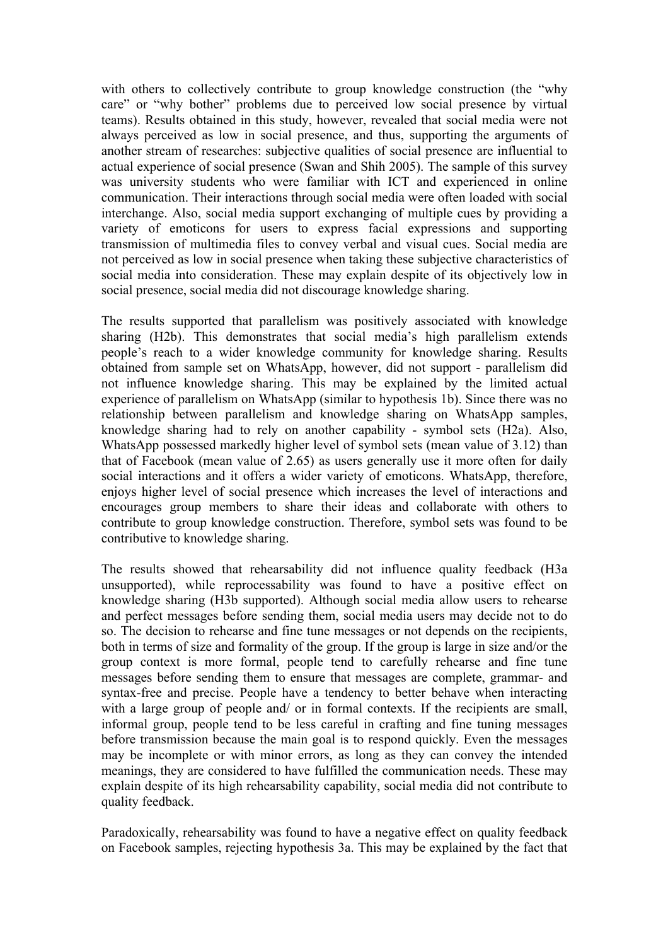with others to collectively contribute to group knowledge construction (the "why" care" or "why bother" problems due to perceived low social presence by virtual teams). Results obtained in this study, however, revealed that social media were not always perceived as low in social presence, and thus, supporting the arguments of another stream of researches: subjective qualities of social presence are influential to actual experience of social presence (Swan and Shih 2005). The sample of this survey was university students who were familiar with ICT and experienced in online communication. Their interactions through social media were often loaded with social interchange. Also, social media support exchanging of multiple cues by providing a variety of emoticons for users to express facial expressions and supporting transmission of multimedia files to convey verbal and visual cues. Social media are not perceived as low in social presence when taking these subjective characteristics of social media into consideration. These may explain despite of its objectively low in social presence, social media did not discourage knowledge sharing.

The results supported that parallelism was positively associated with knowledge sharing (H2b). This demonstrates that social media's high parallelism extends people's reach to a wider knowledge community for knowledge sharing. Results obtained from sample set on WhatsApp, however, did not support - parallelism did not influence knowledge sharing. This may be explained by the limited actual experience of parallelism on WhatsApp (similar to hypothesis 1b). Since there was no relationship between parallelism and knowledge sharing on WhatsApp samples, knowledge sharing had to rely on another capability - symbol sets (H2a). Also, WhatsApp possessed markedly higher level of symbol sets (mean value of 3.12) than that of Facebook (mean value of 2.65) as users generally use it more often for daily social interactions and it offers a wider variety of emoticons. WhatsApp, therefore, enjoys higher level of social presence which increases the level of interactions and encourages group members to share their ideas and collaborate with others to contribute to group knowledge construction. Therefore, symbol sets was found to be contributive to knowledge sharing.

The results showed that rehearsability did not influence quality feedback (H3a unsupported), while reprocessability was found to have a positive effect on knowledge sharing (H3b supported). Although social media allow users to rehearse and perfect messages before sending them, social media users may decide not to do so. The decision to rehearse and fine tune messages or not depends on the recipients, both in terms of size and formality of the group. If the group is large in size and/or the group context is more formal, people tend to carefully rehearse and fine tune messages before sending them to ensure that messages are complete, grammar- and syntax-free and precise. People have a tendency to better behave when interacting with a large group of people and/ or in formal contexts. If the recipients are small, informal group, people tend to be less careful in crafting and fine tuning messages before transmission because the main goal is to respond quickly. Even the messages may be incomplete or with minor errors, as long as they can convey the intended meanings, they are considered to have fulfilled the communication needs. These may explain despite of its high rehearsability capability, social media did not contribute to quality feedback.

Paradoxically, rehearsability was found to have a negative effect on quality feedback on Facebook samples, rejecting hypothesis 3a. This may be explained by the fact that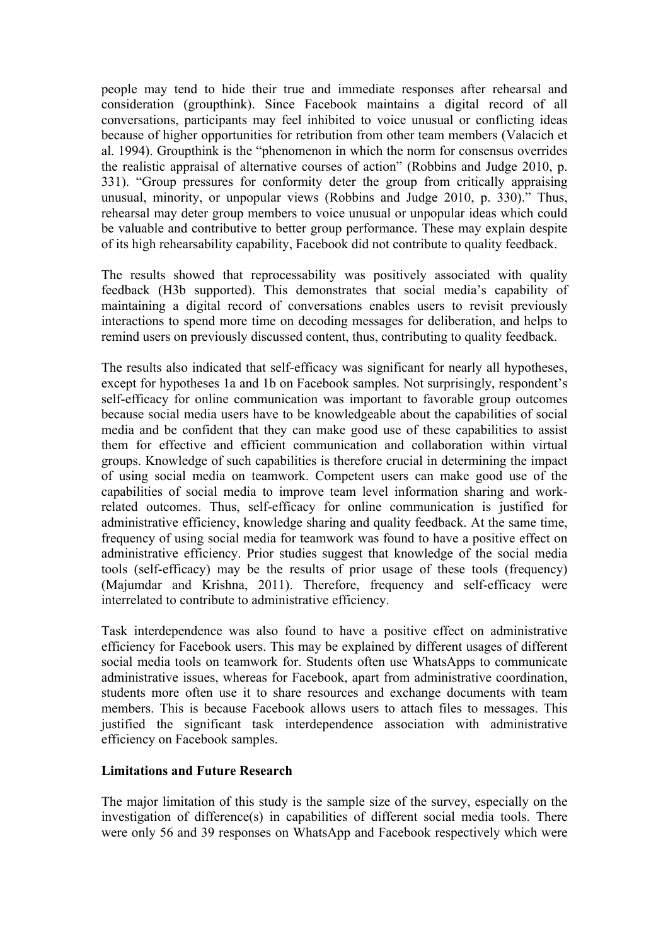people may tend to hide their true and immediate responses after rehearsal and consideration (groupthink). Since Facebook maintains a digital record of all conversations, participants may feel inhibited to voice unusual or conflicting ideas because of higher opportunities for retribution from other team members (Valacich et al. 1994). Groupthink is the "phenomenon in which the norm for consensus overrides the realistic appraisal of alternative courses of action" (Robbins and Judge 2010, p. 331). "Group pressures for conformity deter the group from critically appraising unusual, minority, or unpopular views (Robbins and Judge 2010, p. 330)." Thus, rehearsal may deter group members to voice unusual or unpopular ideas which could be valuable and contributive to better group performance. These may explain despite of its high rehearsability capability, Facebook did not contribute to quality feedback.

The results showed that reprocessability was positively associated with quality feedback (H3b supported). This demonstrates that social media's capability of maintaining a digital record of conversations enables users to revisit previously interactions to spend more time on decoding messages for deliberation, and helps to remind users on previously discussed content, thus, contributing to quality feedback.

The results also indicated that self-efficacy was significant for nearly all hypotheses, except for hypotheses 1a and 1b on Facebook samples. Not surprisingly, respondent's self-efficacy for online communication was important to favorable group outcomes because social media users have to be knowledgeable about the capabilities of social media and be confident that they can make good use of these capabilities to assist them for effective and efficient communication and collaboration within virtual groups. Knowledge of such capabilities is therefore crucial in determining the impact of using social media on teamwork. Competent users can make good use of the capabilities of social media to improve team level information sharing and workrelated outcomes. Thus, self-efficacy for online communication is justified for administrative efficiency, knowledge sharing and quality feedback. At the same time, frequency of using social media for teamwork was found to have a positive effect on administrative efficiency. Prior studies suggest that knowledge of the social media tools (self-efficacy) may be the results of prior usage of these tools (frequency) (Majumdar and Krishna, 2011). Therefore, frequency and self-efficacy were interrelated to contribute to administrative efficiency.

Task interdependence was also found to have a positive effect on administrative efficiency for Facebook users. This may be explained by different usages of different social media tools on teamwork for. Students often use WhatsApps to communicate administrative issues, whereas for Facebook, apart from administrative coordination, students more often use it to share resources and exchange documents with team members. This is because Facebook allows users to attach files to messages. This justified the significant task interdependence association with administrative efficiency on Facebook samples.

#### **Limitations and Future Research**

The major limitation of this study is the sample size of the survey, especially on the investigation of difference(s) in capabilities of different social media tools. There were only 56 and 39 responses on WhatsApp and Facebook respectively which were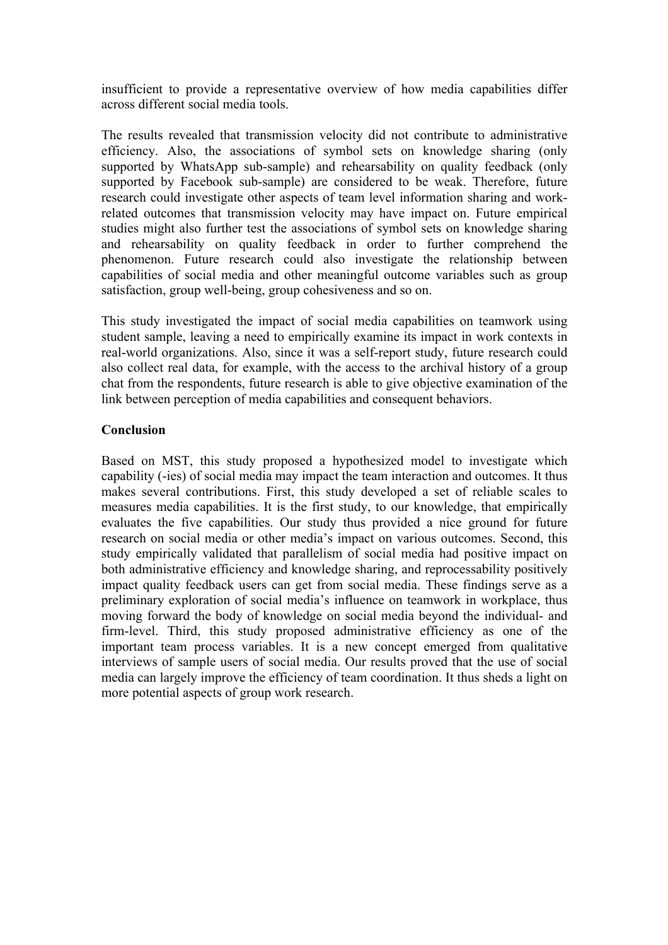insufficient to provide a representative overview of how media capabilities differ across different social media tools.

The results revealed that transmission velocity did not contribute to administrative efficiency. Also, the associations of symbol sets on knowledge sharing (only supported by WhatsApp sub-sample) and rehearsability on quality feedback (only supported by Facebook sub-sample) are considered to be weak. Therefore, future research could investigate other aspects of team level information sharing and workrelated outcomes that transmission velocity may have impact on. Future empirical studies might also further test the associations of symbol sets on knowledge sharing and rehearsability on quality feedback in order to further comprehend the phenomenon. Future research could also investigate the relationship between capabilities of social media and other meaningful outcome variables such as group satisfaction, group well-being, group cohesiveness and so on.

This study investigated the impact of social media capabilities on teamwork using student sample, leaving a need to empirically examine its impact in work contexts in real-world organizations. Also, since it was a self-report study, future research could also collect real data, for example, with the access to the archival history of a group chat from the respondents, future research is able to give objective examination of the link between perception of media capabilities and consequent behaviors.

## **Conclusion**

Based on MST, this study proposed a hypothesized model to investigate which capability (-ies) of social media may impact the team interaction and outcomes. It thus makes several contributions. First, this study developed a set of reliable scales to measures media capabilities. It is the first study, to our knowledge, that empirically evaluates the five capabilities. Our study thus provided a nice ground for future research on social media or other media's impact on various outcomes. Second, this study empirically validated that parallelism of social media had positive impact on both administrative efficiency and knowledge sharing, and reprocessability positively impact quality feedback users can get from social media. These findings serve as a preliminary exploration of social media's influence on teamwork in workplace, thus moving forward the body of knowledge on social media beyond the individual- and firm-level. Third, this study proposed administrative efficiency as one of the important team process variables. It is a new concept emerged from qualitative interviews of sample users of social media. Our results proved that the use of social media can largely improve the efficiency of team coordination. It thus sheds a light on more potential aspects of group work research.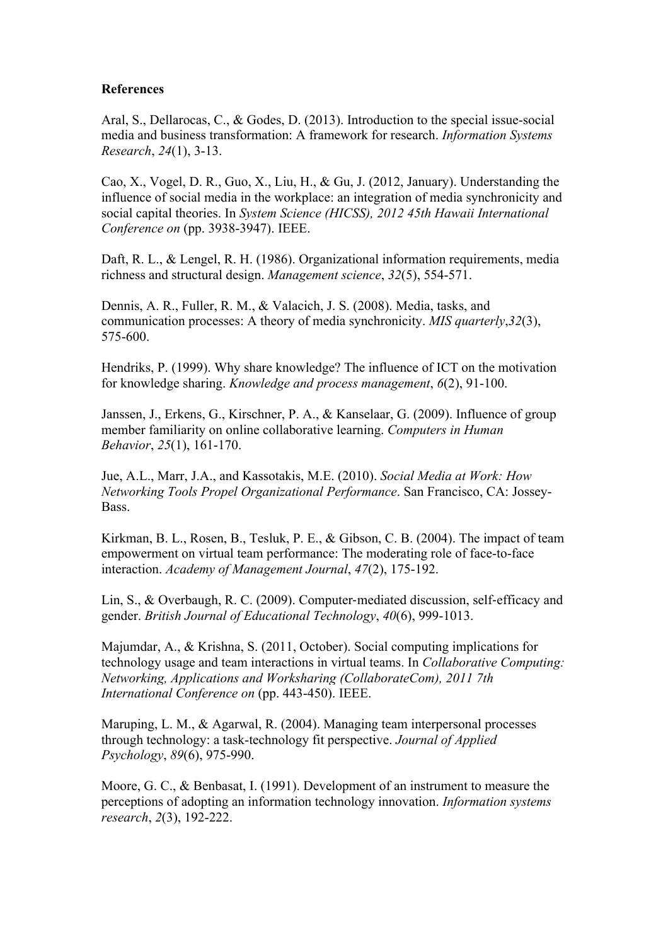#### **References**

Aral, S., Dellarocas, C., & Godes, D. (2013). Introduction to the special issue-social media and business transformation: A framework for research. *Information Systems Research*, *24*(1), 3-13.

Cao, X., Vogel, D. R., Guo, X., Liu, H., & Gu, J. (2012, January). Understanding the influence of social media in the workplace: an integration of media synchronicity and social capital theories. In *System Science (HICSS), 2012 45th Hawaii International Conference on* (pp. 3938-3947). IEEE.

Daft, R. L., & Lengel, R. H. (1986). Organizational information requirements, media richness and structural design. *Management science*, *32*(5), 554-571.

Dennis, A. R., Fuller, R. M., & Valacich, J. S. (2008). Media, tasks, and communication processes: A theory of media synchronicity. *MIS quarterly*,*32*(3), 575-600.

Hendriks, P. (1999). Why share knowledge? The influence of ICT on the motivation for knowledge sharing. *Knowledge and process management*, *6*(2), 91-100.

Janssen, J., Erkens, G., Kirschner, P. A., & Kanselaar, G. (2009). Influence of group member familiarity on online collaborative learning. *Computers in Human Behavior*, *25*(1), 161-170.

Jue, A.L., Marr, J.A., and Kassotakis, M.E. (2010). *Social Media at Work: How Networking Tools Propel Organizational Performance*. San Francisco, CA: Jossey-Bass.

Kirkman, B. L., Rosen, B., Tesluk, P. E., & Gibson, C. B. (2004). The impact of team empowerment on virtual team performance: The moderating role of face-to-face interaction. *Academy of Management Journal*, *47*(2), 175-192.

Lin, S., & Overbaugh, R. C. (2009). Computer-mediated discussion, self-efficacy and gender. *British Journal of Educational Technology*, *40*(6), 999-1013.

Majumdar, A., & Krishna, S. (2011, October). Social computing implications for technology usage and team interactions in virtual teams. In *Collaborative Computing: Networking, Applications and Worksharing (CollaborateCom), 2011 7th International Conference on* (pp. 443-450). IEEE.

Maruping, L. M., & Agarwal, R. (2004). Managing team interpersonal processes through technology: a task-technology fit perspective. *Journal of Applied Psychology*, *89*(6), 975-990.

Moore, G. C., & Benbasat, I. (1991). Development of an instrument to measure the perceptions of adopting an information technology innovation. *Information systems research*, *2*(3), 192-222.